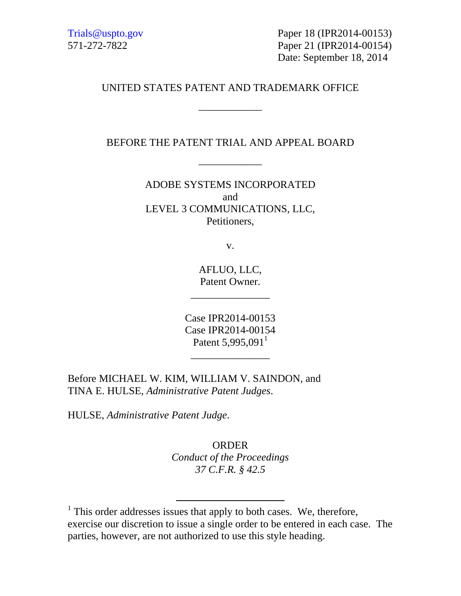Trials@uspto.gov Paper 18 (IPR2014-00153) 571-272-7822 Paper 21 (IPR2014-00154) Date: September 18, 2014

### UNITED STATES PATENT AND TRADEMARK OFFICE

\_\_\_\_\_\_\_\_\_\_\_\_

### BEFORE THE PATENT TRIAL AND APPEAL BOARD

\_\_\_\_\_\_\_\_\_\_\_\_

ADOBE SYSTEMS INCORPORATED and LEVEL 3 COMMUNICATIONS, LLC, Petitioners,

v.

AFLUO, LLC, Patent Owner.

\_\_\_\_\_\_\_\_\_\_\_\_\_\_\_

Case IPR2014-00153 Case IPR2014-00154 Patent  $5,995,091$ <sup>1</sup>

\_\_\_\_\_\_\_\_\_\_\_\_\_\_\_

Before MICHAEL W. KIM, WILLIAM V. SAINDON, and TINA E. HULSE, *Administrative Patent Judges*.

HULSE, *Administrative Patent Judge*.

ORDER *Conduct of the Proceedings 37 C.F.R. § 42.5* 

<sup>&</sup>lt;sup>1</sup> This order addresses issues that apply to both cases. We, therefore, exercise our discretion to issue a single order to be entered in each case. The parties, however, are not authorized to use this style heading.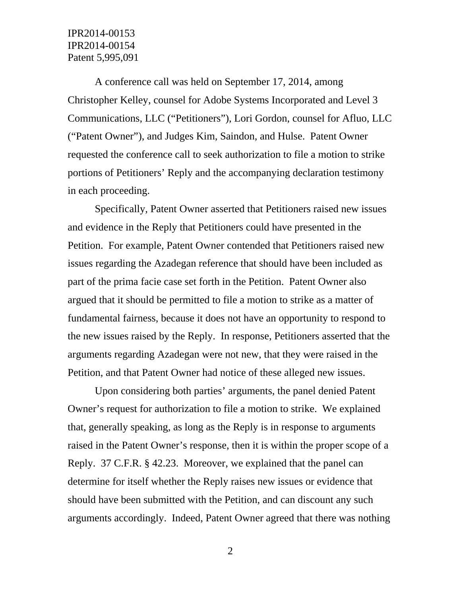## IPR2014-00153 IPR2014-00154 Patent 5,995,091

A conference call was held on September 17, 2014, among Christopher Kelley, counsel for Adobe Systems Incorporated and Level 3 Communications, LLC ("Petitioners"), Lori Gordon, counsel for Afluo, LLC ("Patent Owner"), and Judges Kim, Saindon, and Hulse. Patent Owner requested the conference call to seek authorization to file a motion to strike portions of Petitioners' Reply and the accompanying declaration testimony in each proceeding.

Specifically, Patent Owner asserted that Petitioners raised new issues and evidence in the Reply that Petitioners could have presented in the Petition. For example, Patent Owner contended that Petitioners raised new issues regarding the Azadegan reference that should have been included as part of the prima facie case set forth in the Petition. Patent Owner also argued that it should be permitted to file a motion to strike as a matter of fundamental fairness, because it does not have an opportunity to respond to the new issues raised by the Reply. In response, Petitioners asserted that the arguments regarding Azadegan were not new, that they were raised in the Petition, and that Patent Owner had notice of these alleged new issues.

Upon considering both parties' arguments, the panel denied Patent Owner's request for authorization to file a motion to strike. We explained that, generally speaking, as long as the Reply is in response to arguments raised in the Patent Owner's response, then it is within the proper scope of a Reply. 37 C.F.R. § 42.23. Moreover, we explained that the panel can determine for itself whether the Reply raises new issues or evidence that should have been submitted with the Petition, and can discount any such arguments accordingly. Indeed, Patent Owner agreed that there was nothing

2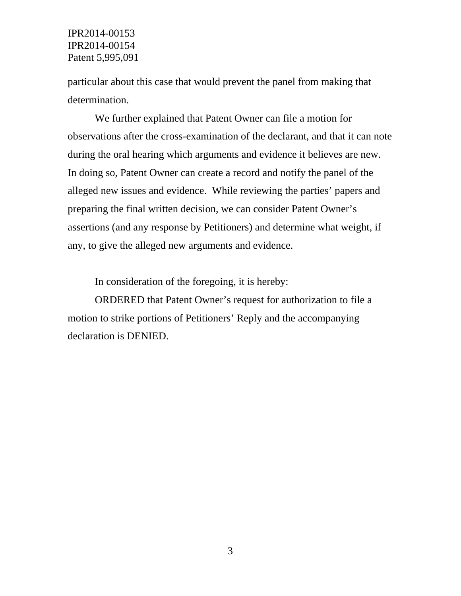IPR2014-00153 IPR2014-00154 Patent 5,995,091

particular about this case that would prevent the panel from making that determination.

We further explained that Patent Owner can file a motion for observations after the cross-examination of the declarant, and that it can note during the oral hearing which arguments and evidence it believes are new. In doing so, Patent Owner can create a record and notify the panel of the alleged new issues and evidence. While reviewing the parties' papers and preparing the final written decision, we can consider Patent Owner's assertions (and any response by Petitioners) and determine what weight, if any, to give the alleged new arguments and evidence.

In consideration of the foregoing, it is hereby:

ORDERED that Patent Owner's request for authorization to file a motion to strike portions of Petitioners' Reply and the accompanying declaration is DENIED.